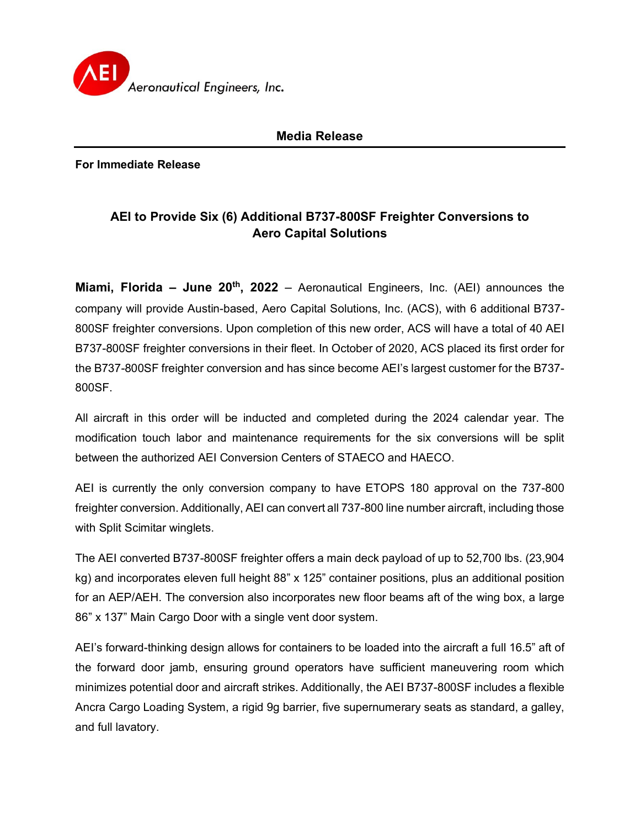

## **Media Release**

**For Immediate Release**

## **AEI to Provide Six (6) Additional B737-800SF Freighter Conversions to Aero Capital Solutions**

**Miami, Florida – June 20th, 2022** – Aeronautical Engineers, Inc. (AEI) announces the company will provide Austin-based, Aero Capital Solutions, Inc. (ACS), with 6 additional B737- 800SF freighter conversions. Upon completion of this new order, ACS will have a total of 40 AEI B737-800SF freighter conversions in their fleet. In October of 2020, ACS placed its first order for the B737-800SF freighter conversion and has since become AEI's largest customer for the B737- 800SF.

All aircraft in this order will be inducted and completed during the 2024 calendar year. The modification touch labor and maintenance requirements for the six conversions will be split between the authorized AEI Conversion Centers of STAECO and HAECO.

AEI is currently the only conversion company to have ETOPS 180 approval on the 737-800 freighter conversion. Additionally, AEI can convert all 737-800 line number aircraft, including those with Split Scimitar winglets.

The AEI converted B737-800SF freighter offers a main deck payload of up to 52,700 lbs. (23,904 kg) and incorporates eleven full height 88" x 125" container positions, plus an additional position for an AEP/AEH. The conversion also incorporates new floor beams aft of the wing box, a large 86" x 137" Main Cargo Door with a single vent door system.

AEI's forward-thinking design allows for containers to be loaded into the aircraft a full 16.5" aft of the forward door jamb, ensuring ground operators have sufficient maneuvering room which minimizes potential door and aircraft strikes. Additionally, the AEI B737-800SF includes a flexible Ancra Cargo Loading System, a rigid 9g barrier, five supernumerary seats as standard, a galley, and full lavatory.